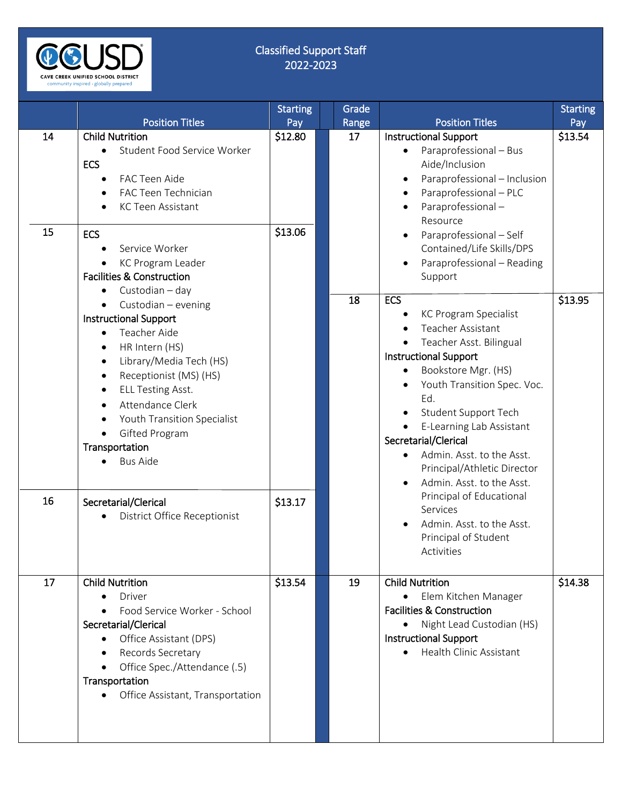

## Classified Support Staff 2022-2023

|    | <b>Position Titles</b>                                                                                                                                                                                                                            | <b>Starting</b><br>Pay | Grade<br>Range  | <b>Position Titles</b>                                                                                                                                                                                                                                                                                | <b>Starting</b><br>Pay |
|----|---------------------------------------------------------------------------------------------------------------------------------------------------------------------------------------------------------------------------------------------------|------------------------|-----------------|-------------------------------------------------------------------------------------------------------------------------------------------------------------------------------------------------------------------------------------------------------------------------------------------------------|------------------------|
| 14 | <b>Child Nutrition</b><br>Student Food Service Worker<br><b>ECS</b><br>FAC Teen Aide<br>FAC Teen Technician<br><b>KC Teen Assistant</b>                                                                                                           | \$12.80                | 17              | <b>Instructional Support</b><br>Paraprofessional - Bus<br>$\bullet$<br>Aide/Inclusion<br>Paraprofessional - Inclusion<br>٠<br>Paraprofessional - PLC<br>$\bullet$<br>Paraprofessional-<br>Resource                                                                                                    | \$13.54                |
| 15 | <b>ECS</b><br>Service Worker<br>KC Program Leader<br><b>Facilities &amp; Construction</b><br>Custodian - day<br>$\bullet$<br>Custodian - evening<br>$\bullet$<br><b>Instructional Support</b><br>Teacher Aide<br>HR Intern (HS)<br>$\bullet$      | \$13.06                | $\overline{18}$ | Paraprofessional - Self<br>٠<br>Contained/Life Skills/DPS<br>Paraprofessional - Reading<br>Support<br><b>ECS</b><br>KC Program Specialist<br>Teacher Assistant<br>$\bullet$<br>Teacher Asst. Bilingual                                                                                                | \$13.95                |
|    | Library/Media Tech (HS)<br>$\bullet$<br>Receptionist (MS) (HS)<br>$\bullet$<br><b>ELL Testing Asst.</b><br>$\bullet$<br>Attendance Clerk<br>Youth Transition Specialist<br>Gifted Program<br>Transportation<br><b>Bus Aide</b>                    |                        |                 | <b>Instructional Support</b><br>Bookstore Mgr. (HS)<br>$\bullet$<br>Youth Transition Spec. Voc.<br>Ed.<br>Student Support Tech<br>$\bullet$<br>E-Learning Lab Assistant<br>Secretarial/Clerical<br>Admin. Asst. to the Asst.<br>$\bullet$<br>Principal/Athletic Director<br>Admin. Asst. to the Asst. |                        |
| 16 | Secretarial/Clerical<br>District Office Receptionist                                                                                                                                                                                              | \$13.17                |                 | Principal of Educational<br>Services<br>Admin. Asst. to the Asst.<br>Principal of Student<br>Activities                                                                                                                                                                                               |                        |
| 17 | <b>Child Nutrition</b><br><b>Driver</b><br>Food Service Worker - School<br>Secretarial/Clerical<br>Office Assistant (DPS)<br>$\bullet$<br>Records Secretary<br>Office Spec./Attendance (.5)<br>Transportation<br>Office Assistant, Transportation | \$13.54                | 19              | <b>Child Nutrition</b><br>Elem Kitchen Manager<br>$\bullet$<br><b>Facilities &amp; Construction</b><br>• Night Lead Custodian (HS)<br><b>Instructional Support</b><br>• Health Clinic Assistant                                                                                                       | \$14.38                |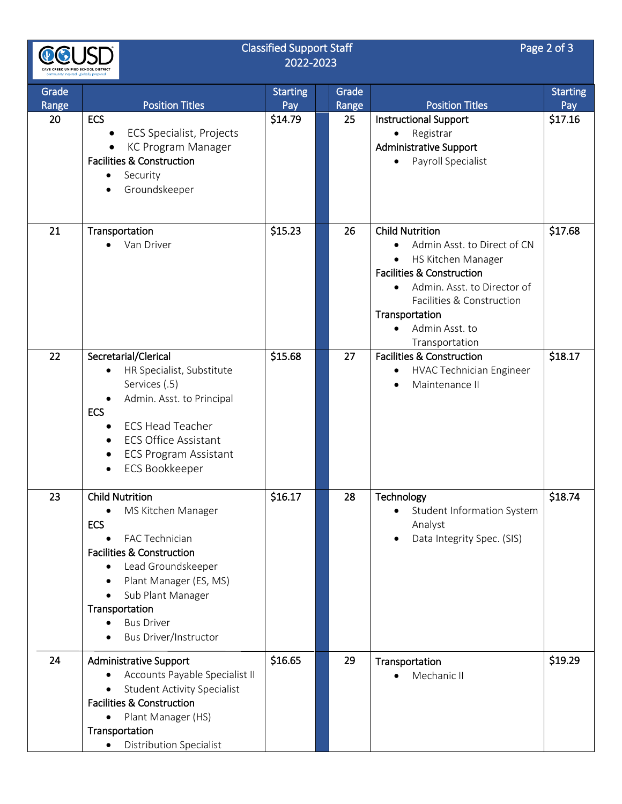|             |                                                                                                                                                                                                                                                                  | <b>Classified Support Staff</b><br>2022-2023 |             | Page 2 of 3                                                                                                                                                                                                                                                     |                 |
|-------------|------------------------------------------------------------------------------------------------------------------------------------------------------------------------------------------------------------------------------------------------------------------|----------------------------------------------|-------------|-----------------------------------------------------------------------------------------------------------------------------------------------------------------------------------------------------------------------------------------------------------------|-----------------|
| Grade       |                                                                                                                                                                                                                                                                  | <b>Starting</b>                              | Grade       |                                                                                                                                                                                                                                                                 | <b>Starting</b> |
| Range<br>20 | <b>Position Titles</b><br><b>ECS</b><br><b>ECS Specialist, Projects</b><br>KC Program Manager<br><b>Facilities &amp; Construction</b><br>Security<br>Groundskeeper                                                                                               | Pay<br>\$14.79                               | Range<br>25 | <b>Position Titles</b><br><b>Instructional Support</b><br>Registrar<br>$\bullet$<br><b>Administrative Support</b><br>Payroll Specialist                                                                                                                         | Pay<br>\$17.16  |
| 21          | Transportation<br>Van Driver                                                                                                                                                                                                                                     | \$15.23                                      | 26          | <b>Child Nutrition</b><br>Admin Asst. to Direct of CN<br>HS Kitchen Manager<br>$\bullet$<br><b>Facilities &amp; Construction</b><br>Admin. Asst. to Director of<br>Facilities & Construction<br>Transportation<br>Admin Asst. to<br>$\bullet$<br>Transportation | \$17.68         |
| 22          | Secretarial/Clerical<br>HR Specialist, Substitute<br>Services (.5)<br>Admin. Asst. to Principal<br><b>ECS</b><br><b>ECS Head Teacher</b><br><b>ECS Office Assistant</b><br>$\bullet$<br><b>ECS Program Assistant</b><br>٠<br><b>ECS Bookkeeper</b>               | \$15.68                                      | 27          | <b>Facilities &amp; Construction</b><br>HVAC Technician Engineer<br>Maintenance II                                                                                                                                                                              | \$18.17         |
| 23          | <b>Child Nutrition</b><br>MS Kitchen Manager<br><b>ECS</b><br>FAC Technician<br><b>Facilities &amp; Construction</b><br>Lead Groundskeeper<br>Plant Manager (ES, MS)<br>Sub Plant Manager<br>Transportation<br><b>Bus Driver</b><br><b>Bus Driver/Instructor</b> | \$16.17                                      | 28          | Technology<br>Student Information System<br>Analyst<br>Data Integrity Spec. (SIS)                                                                                                                                                                               | \$18.74         |
| 24          | <b>Administrative Support</b><br>Accounts Payable Specialist II<br><b>Student Activity Specialist</b><br><b>Facilities &amp; Construction</b><br>Plant Manager (HS)<br>$\bullet$<br>Transportation<br><b>Distribution Specialist</b><br>$\bullet$                | \$16.65                                      | 29          | Transportation<br>Mechanic II<br>$\bullet$                                                                                                                                                                                                                      | \$19.29         |